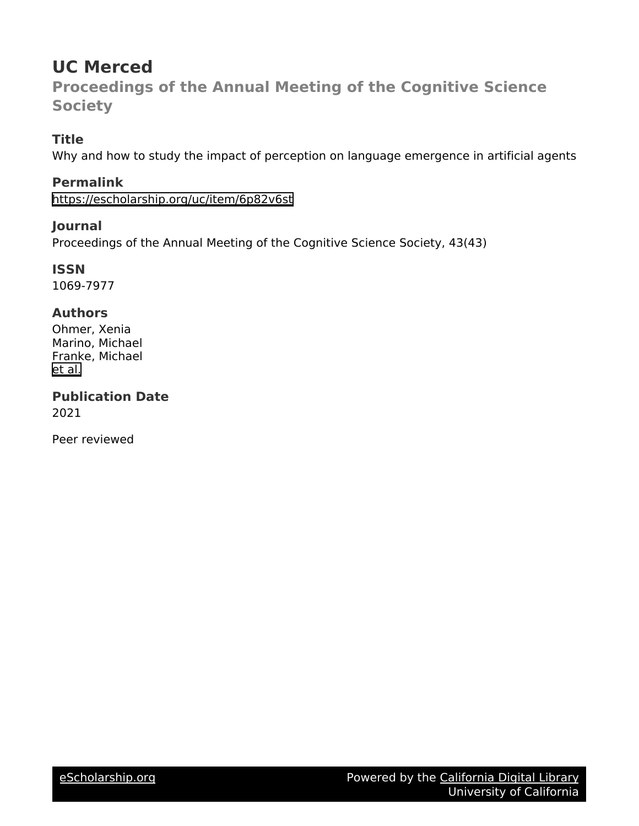# **UC Merced**

**Proceedings of the Annual Meeting of the Cognitive Science Society**

## **Title**

Why and how to study the impact of perception on language emergence in artificial agents

### **Permalink**

<https://escholarship.org/uc/item/6p82v6st>

### **Journal**

Proceedings of the Annual Meeting of the Cognitive Science Society, 43(43)

**ISSN** 1069-7977

### **Authors**

Ohmer, Xenia Marino, Michael Franke, Michael [et al.](https://escholarship.org/uc/item/6p82v6st#author)

**Publication Date** 2021

Peer reviewed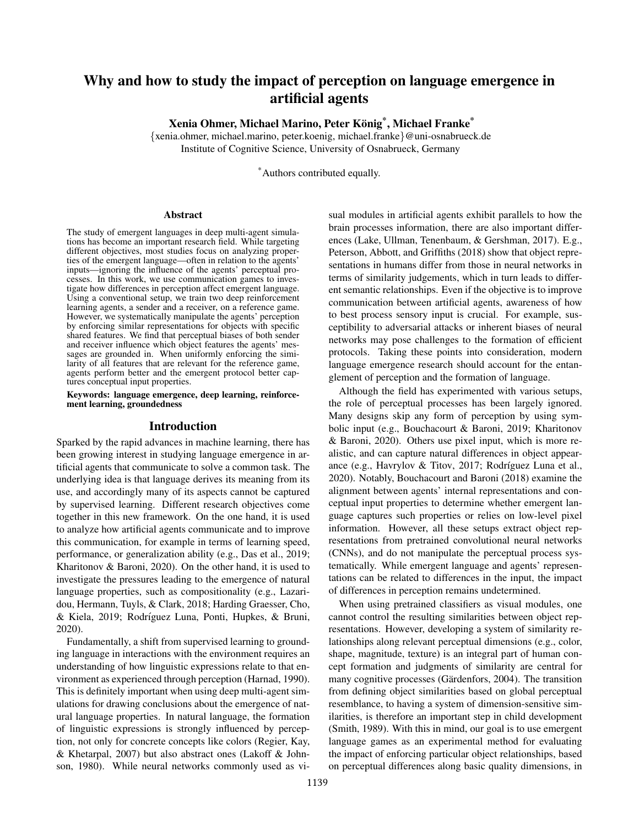### Why and how to study the impact of perception on language emergence in artificial agents

Xenia Ohmer, Michael Marino, Peter König<sup>\*</sup>, Michael Franke<sup>\*</sup>

{xenia.ohmer, michael.marino, peter.koenig, michael.franke}@uni-osnabrueck.de Institute of Cognitive Science, University of Osnabrueck, Germany

\*Authors contributed equally.

#### Abstract

The study of emergent languages in deep multi-agent simulations has become an important research field. While targeting different objectives, most studies focus on analyzing properties of the emergent language—often in relation to the agents' inputs—ignoring the influence of the agents' perceptual processes. In this work, we use communication games to investigate how differences in perception affect emergent language. Using a conventional setup, we train two deep reinforcement learning agents, a sender and a receiver, on a reference game. However, we systematically manipulate the agents' perception by enforcing similar representations for objects with specific shared features. We find that perceptual biases of both sender and receiver influence which object features the agents' messages are grounded in. When uniformly enforcing the similarity of all features that are relevant for the reference game, agents perform better and the emergent protocol better captures conceptual input properties.

#### Keywords: language emergence, deep learning, reinforcement learning, groundedness

#### Introduction

Sparked by the rapid advances in machine learning, there has been growing interest in studying language emergence in artificial agents that communicate to solve a common task. The underlying idea is that language derives its meaning from its use, and accordingly many of its aspects cannot be captured by supervised learning. Different research objectives come together in this new framework. On the one hand, it is used to analyze how artificial agents communicate and to improve this communication, for example in terms of learning speed, performance, or generalization ability (e.g., Das et al., 2019; Kharitonov & Baroni, 2020). On the other hand, it is used to investigate the pressures leading to the emergence of natural language properties, such as compositionality (e.g., Lazaridou, Hermann, Tuyls, & Clark, 2018; Harding Graesser, Cho, & Kiela, 2019; Rodríguez Luna, Ponti, Hupkes, & Bruni, 2020).

Fundamentally, a shift from supervised learning to grounding language in interactions with the environment requires an understanding of how linguistic expressions relate to that environment as experienced through perception (Harnad, 1990). This is definitely important when using deep multi-agent simulations for drawing conclusions about the emergence of natural language properties. In natural language, the formation of linguistic expressions is strongly influenced by perception, not only for concrete concepts like colors (Regier, Kay, & Khetarpal, 2007) but also abstract ones (Lakoff & Johnson, 1980). While neural networks commonly used as visual modules in artificial agents exhibit parallels to how the brain processes information, there are also important differences (Lake, Ullman, Tenenbaum, & Gershman, 2017). E.g., Peterson, Abbott, and Griffiths (2018) show that object representations in humans differ from those in neural networks in terms of similarity judgements, which in turn leads to different semantic relationships. Even if the objective is to improve communication between artificial agents, awareness of how to best process sensory input is crucial. For example, susceptibility to adversarial attacks or inherent biases of neural networks may pose challenges to the formation of efficient protocols. Taking these points into consideration, modern language emergence research should account for the entanglement of perception and the formation of language.

Although the field has experimented with various setups, the role of perceptual processes has been largely ignored. Many designs skip any form of perception by using symbolic input (e.g., Bouchacourt & Baroni, 2019; Kharitonov & Baroni, 2020). Others use pixel input, which is more realistic, and can capture natural differences in object appearance (e.g., Havrylov & Titov, 2017; Rodríguez Luna et al., 2020). Notably, Bouchacourt and Baroni (2018) examine the alignment between agents' internal representations and conceptual input properties to determine whether emergent language captures such properties or relies on low-level pixel information. However, all these setups extract object representations from pretrained convolutional neural networks (CNNs), and do not manipulate the perceptual process systematically. While emergent language and agents' representations can be related to differences in the input, the impact of differences in perception remains undetermined.

When using pretrained classifiers as visual modules, one cannot control the resulting similarities between object representations. However, developing a system of similarity relationships along relevant perceptual dimensions (e.g., color, shape, magnitude, texture) is an integral part of human concept formation and judgments of similarity are central for many cognitive processes (Gärdenfors, 2004). The transition from defining object similarities based on global perceptual resemblance, to having a system of dimension-sensitive similarities, is therefore an important step in child development (Smith, 1989). With this in mind, our goal is to use emergent language games as an experimental method for evaluating the impact of enforcing particular object relationships, based on perceptual differences along basic quality dimensions, in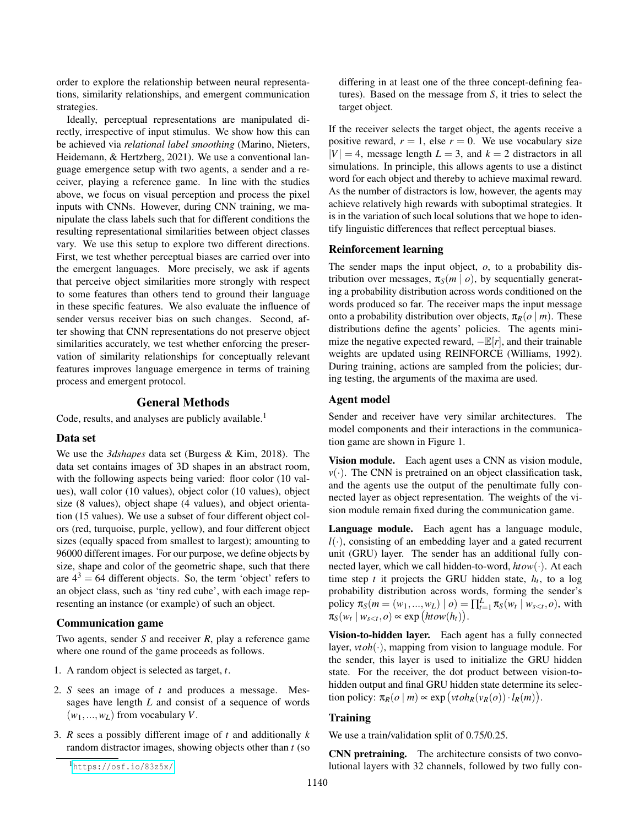order to explore the relationship between neural representations, similarity relationships, and emergent communication strategies.

Ideally, perceptual representations are manipulated directly, irrespective of input stimulus. We show how this can be achieved via *relational label smoothing* (Marino, Nieters, Heidemann, & Hertzberg, 2021). We use a conventional language emergence setup with two agents, a sender and a receiver, playing a reference game. In line with the studies above, we focus on visual perception and process the pixel inputs with CNNs. However, during CNN training, we manipulate the class labels such that for different conditions the resulting representational similarities between object classes vary. We use this setup to explore two different directions. First, we test whether perceptual biases are carried over into the emergent languages. More precisely, we ask if agents that perceive object similarities more strongly with respect to some features than others tend to ground their language in these specific features. We also evaluate the influence of sender versus receiver bias on such changes. Second, after showing that CNN representations do not preserve object similarities accurately, we test whether enforcing the preservation of similarity relationships for conceptually relevant features improves language emergence in terms of training process and emergent protocol.

#### General Methods

Code, results, and analyses are publicly available.<sup>1</sup>

#### Data set

We use the *3dshapes* data set (Burgess & Kim, 2018). The data set contains images of 3D shapes in an abstract room, with the following aspects being varied: floor color (10 values), wall color (10 values), object color (10 values), object size (8 values), object shape (4 values), and object orientation (15 values). We use a subset of four different object colors (red, turquoise, purple, yellow), and four different object sizes (equally spaced from smallest to largest); amounting to 96000 different images. For our purpose, we define objects by size, shape and color of the geometric shape, such that there are  $4^3 = 64$  different objects. So, the term 'object' refers to an object class, such as 'tiny red cube', with each image representing an instance (or example) of such an object.

#### Communication game

Two agents, sender *S* and receiver *R*, play a reference game where one round of the game proceeds as follows.

- 1. A random object is selected as target, *t*.
- 2. *S* sees an image of *t* and produces a message. Messages have length *L* and consist of a sequence of words  $(w_1, ..., w_L)$  from vocabulary *V*.
- 3. *R* sees a possibly different image of *t* and additionally *k* random distractor images, showing objects other than *t* (so

differing in at least one of the three concept-defining features). Based on the message from *S*, it tries to select the target object.

If the receiver selects the target object, the agents receive a positive reward,  $r = 1$ , else  $r = 0$ . We use vocabulary size  $|V| = 4$ , message length  $L = 3$ , and  $k = 2$  distractors in all simulations. In principle, this allows agents to use a distinct word for each object and thereby to achieve maximal reward. As the number of distractors is low, however, the agents may achieve relatively high rewards with suboptimal strategies. It is in the variation of such local solutions that we hope to identify linguistic differences that reflect perceptual biases.

#### Reinforcement learning

The sender maps the input object, *o*, to a probability distribution over messages,  $\pi_S(m \mid o)$ , by sequentially generating a probability distribution across words conditioned on the words produced so far. The receiver maps the input message onto a probability distribution over objects,  $\pi_R(o \mid m)$ . These distributions define the agents' policies. The agents minimize the negative expected reward,  $-\mathbb{E}[r]$ , and their trainable weights are updated using REINFORCE (Williams, 1992). During training, actions are sampled from the policies; during testing, the arguments of the maxima are used.

#### Agent model

Sender and receiver have very similar architectures. The model components and their interactions in the communication game are shown in Figure 1.

Vision module. Each agent uses a CNN as vision module,  $v(\cdot)$ . The CNN is pretrained on an object classification task, and the agents use the output of the penultimate fully connected layer as object representation. The weights of the vision module remain fixed during the communication game.

Language module. Each agent has a language module,  $l(\cdot)$ , consisting of an embedding layer and a gated recurrent unit (GRU) layer. The sender has an additional fully connected layer, which we call hidden-to-word, *htow*(·). At each time step  $t$  it projects the GRU hidden state,  $h_t$ , to a log probability distribution across words, forming the sender's policy  $\pi_S(m = (w_1, ..., w_L) | o) = \prod_{t=1}^L \pi_S(w_t | w_{s, with$  $\pi_S(w_t \mid w_{s$ 

Vision-to-hidden layer. Each agent has a fully connected layer, *vtoh*(·), mapping from vision to language module. For the sender, this layer is used to initialize the GRU hidden state. For the receiver, the dot product between vision-tohidden output and final GRU hidden state determine its selection policy:  $\pi_R(o \mid m) \propto \exp(vtoh_R(v_R(o)) \cdot l_R(m)).$ 

#### **Training**

We use a train/validation split of 0.75/0.25.

CNN pretraining. The architecture consists of two convolutional layers with 32 channels, followed by two fully con-

<sup>1</sup><https://osf.io/83z5x/>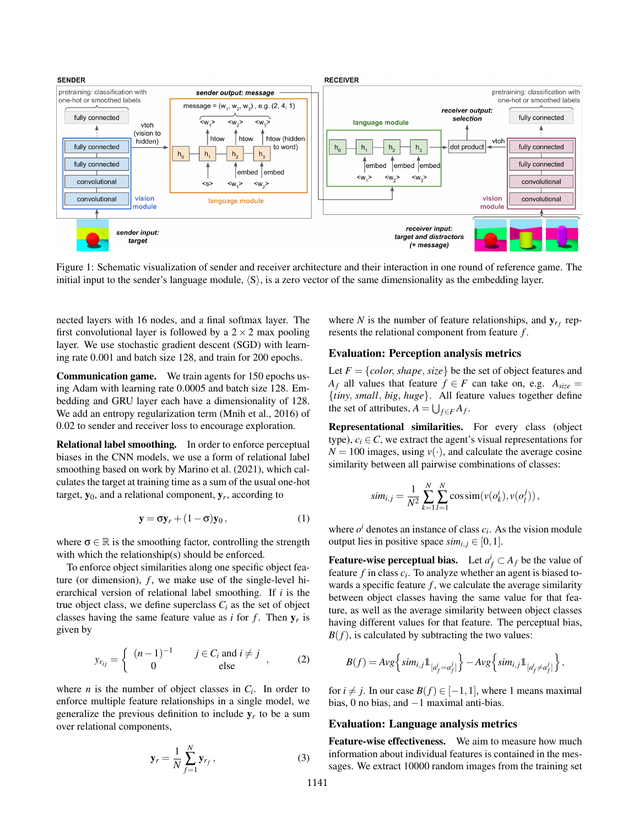

Figure 1: Schematic visualization of sender and receiver architecture and their interaction in one round of reference game. The initial input to the sender's language module,  $\langle S \rangle$ , is a zero vector of the same dimensionality as the embedding layer.

nected layers with 16 nodes, and a final softmax layer. The first convolutional layer is followed by a  $2 \times 2$  max pooling layer. We use stochastic gradient descent (SGD) with learning rate 0.001 and batch size 128, and train for 200 epochs.

Communication game. We train agents for 150 epochs using Adam with learning rate 0.0005 and batch size 128. Embedding and GRU layer each have a dimensionality of 128. We add an entropy regularization term (Mnih et al., 2016) of 0.02 to sender and receiver loss to encourage exploration.

Relational label smoothing. In order to enforce perceptual biases in the CNN models, we use a form of relational label smoothing based on work by Marino et al. (2021), which calculates the target at training time as a sum of the usual one-hot target,  $y_0$ , and a relational component,  $y_r$ , according to

$$
\mathbf{y} = \sigma \mathbf{y}_r + (1 - \sigma) \mathbf{y}_0, \tag{1}
$$

where  $\sigma \in \mathbb{R}$  is the smoothing factor, controlling the strength with which the relationship(s) should be enforced.

To enforce object similarities along one specific object feature (or dimension),  $f$ , we make use of the single-level hierarchical version of relational label smoothing. If *i* is the true object class, we define superclass  $C_i$  as the set of object classes having the same feature value as  $i$  for  $f$ . Then  $y_r$  is given by

$$
y_{r_{ij}} = \begin{cases} (n-1)^{-1} & j \in C_i \text{ and } i \neq j \\ 0 & \text{else} \end{cases}
$$
 (2)

where *n* is the number of object classes in  $C_i$ . In order to enforce multiple feature relationships in a single model, we generalize the previous definition to include  $y_r$  to be a sum over relational components,

$$
\mathbf{y}_r = \frac{1}{N} \sum_{f=1}^{N} \mathbf{y}_{r_f},
$$
 (3)

where *N* is the number of feature relationships, and  $y_{r_f}$  represents the relational component from feature *f* .

#### Evaluation: Perception analysis metrics

Let  $F = \{color, shape, size\}$  be the set of object features and *A*<sup>*f*</sup> all values that feature  $f \in F$  can take on, e.g.  $A_{size}$  = {*tiny*, *small*, *big*, *huge*}. All feature values together define the set of attributes,  $A = \bigcup_{f \in F} A_f$ .

Representational similarities. For every class (object type),  $c_i \in \mathbb{C}$ , we extract the agent's visual representations for  $N = 100$  images, using  $v(\cdot)$ , and calculate the average cosine similarity between all pairwise combinations of classes:

$$
sim_{i,j} = \frac{1}{N^2} \sum_{k=1}^{N} \sum_{l=1}^{N} \cos \text{sim}(v(o_k^i), v(o_l^j)),
$$

where  $o^i$  denotes an instance of class  $c_i$ . As the vision module output lies in positive space  $sim_{i,j} \in [0,1]$ .

Feature-wise perceptual bias. Let  $a_f^i \subset A_f$  be the value of feature *f* in class *c<sup>i</sup>* . To analyze whether an agent is biased towards a specific feature  $f$ , we calculate the average similarity between object classes having the same value for that feature, as well as the average similarity between object classes having different values for that feature. The perceptual bias,  $B(f)$ , is calculated by subtracting the two values:

$$
B(f) = Avg\left\{ \left. sim_{i,j} \mathbb{1}_{\left[ a_f^j = a_f^j \right]} \right\} - Avg\left\{ \left. sim_{i,j} \mathbb{1}_{\left[ a_f^j \neq a_f^j \right]} \right\} \right\},\right.
$$

for  $i \neq j$ . In our case  $B(f) \in [-1,1]$ , where 1 means maximal bias, 0 no bias, and  $-1$  maximal anti-bias.

#### Evaluation: Language analysis metrics

Feature-wise effectiveness. We aim to measure how much information about individual features is contained in the messages. We extract 10000 random images from the training set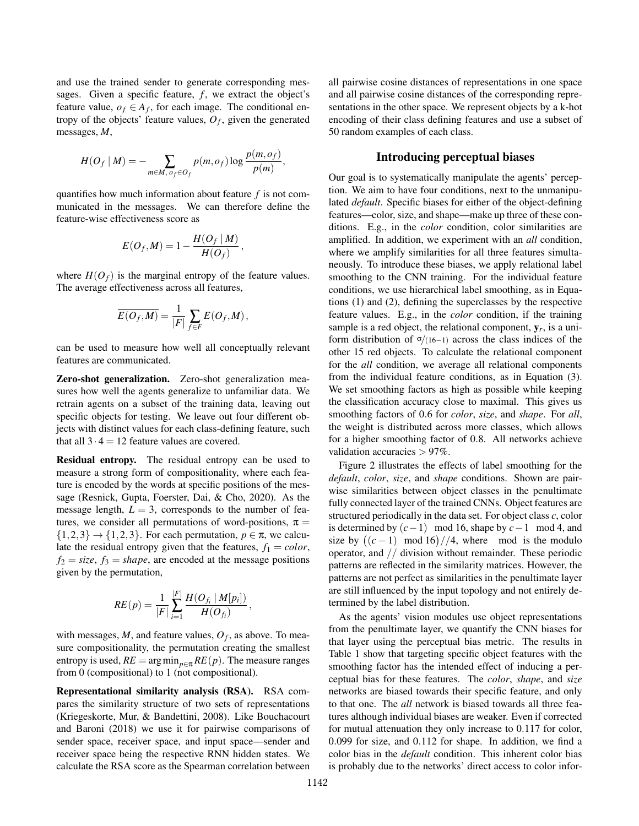and use the trained sender to generate corresponding messages. Given a specific feature,  $f$ , we extract the object's feature value,  $o_f \in A_f$ , for each image. The conditional entropy of the objects' feature values,  $O_f$ , given the generated messages, *M*,

$$
H(O_f | M) = -\sum_{m \in M, o_f \in O_f} p(m, o_f) \log \frac{p(m, o_f)}{p(m)},
$$

quantifies how much information about feature *f* is not communicated in the messages. We can therefore define the feature-wise effectiveness score as

$$
E(O_f, M) = 1 - \frac{H(O_f \mid M)}{H(O_f)},
$$

where  $H(O_f)$  is the marginal entropy of the feature values. The average effectiveness across all features,

$$
\overline{E(O_f,M)} = \frac{1}{|F|} \sum_{f \in F} E(O_f,M),
$$

can be used to measure how well all conceptually relevant features are communicated.

Zero-shot generalization. Zero-shot generalization measures how well the agents generalize to unfamiliar data. We retrain agents on a subset of the training data, leaving out specific objects for testing. We leave out four different objects with distinct values for each class-defining feature, such that all  $3 \cdot 4 = 12$  feature values are covered.

Residual entropy. The residual entropy can be used to measure a strong form of compositionality, where each feature is encoded by the words at specific positions of the message (Resnick, Gupta, Foerster, Dai, & Cho, 2020). As the message length,  $L = 3$ , corresponds to the number of features, we consider all permutations of word-positions,  $\pi$  =  $\{1,2,3\} \rightarrow \{1,2,3\}$ . For each permutation,  $p \in \pi$ , we calculate the residual entropy given that the features,  $f_1 = color$ ,  $f_2 = size, f_3 = shape,$  are encoded at the message positions given by the permutation,

$$
RE(p) = \frac{1}{|F|} \sum_{i=1}^{|F|} \frac{H(O_{f_i} | M[p_i])}{H(O_{f_i})}
$$

,

with messages,  $M$ , and feature values,  $O_f$ , as above. To measure compositionality, the permutation creating the smallest entropy is used,  $RE = \arg \min_{p \in \pi} RE(p)$ . The measure ranges from 0 (compositional) to 1 (not compositional).

Representational similarity analysis (RSA). RSA compares the similarity structure of two sets of representations (Kriegeskorte, Mur, & Bandettini, 2008). Like Bouchacourt and Baroni (2018) we use it for pairwise comparisons of sender space, receiver space, and input space—sender and receiver space being the respective RNN hidden states. We calculate the RSA score as the Spearman correlation between all pairwise cosine distances of representations in one space and all pairwise cosine distances of the corresponding representations in the other space. We represent objects by a k-hot encoding of their class defining features and use a subset of 50 random examples of each class.

#### Introducing perceptual biases

Our goal is to systematically manipulate the agents' perception. We aim to have four conditions, next to the unmanipulated *default*. Specific biases for either of the object-defining features—color, size, and shape—make up three of these conditions. E.g., in the *color* condition, color similarities are amplified. In addition, we experiment with an *all* condition, where we amplify similarities for all three features simultaneously. To introduce these biases, we apply relational label smoothing to the CNN training. For the individual feature conditions, we use hierarchical label smoothing, as in Equations (1) and (2), defining the superclasses by the respective feature values. E.g., in the *color* condition, if the training sample is a red object, the relational component,  $y_r$ , is a uniform distribution of  $\sigma/(16-1)$  across the class indices of the other 15 red objects. To calculate the relational component for the *all* condition, we average all relational components from the individual feature conditions, as in Equation (3). We set smoothing factors as high as possible while keeping the classification accuracy close to maximal. This gives us smoothing factors of 0.6 for *color*, *size*, and *shape*. For *all*, the weight is distributed across more classes, which allows for a higher smoothing factor of 0.8. All networks achieve validation accuracies > 97%.

Figure 2 illustrates the effects of label smoothing for the *default*, *color*, *size*, and *shape* conditions. Shown are pairwise similarities between object classes in the penultimate fully connected layer of the trained CNNs. Object features are structured periodically in the data set. For object class *c*, color is determined by  $(c-1)$  mod 16, shape by  $c-1$  mod 4, and size by  $((c-1) \mod 16) // 4$ , where mod is the modulo operator, and // division without remainder. These periodic patterns are reflected in the similarity matrices. However, the patterns are not perfect as similarities in the penultimate layer are still influenced by the input topology and not entirely determined by the label distribution.

As the agents' vision modules use object representations from the penultimate layer, we quantify the CNN biases for that layer using the perceptual bias metric. The results in Table 1 show that targeting specific object features with the smoothing factor has the intended effect of inducing a perceptual bias for these features. The *color*, *shape*, and *size* networks are biased towards their specific feature, and only to that one. The *all* network is biased towards all three features although individual biases are weaker. Even if corrected for mutual attenuation they only increase to 0.117 for color, 0.099 for size, and 0.112 for shape. In addition, we find a color bias in the *default* condition. This inherent color bias is probably due to the networks' direct access to color infor-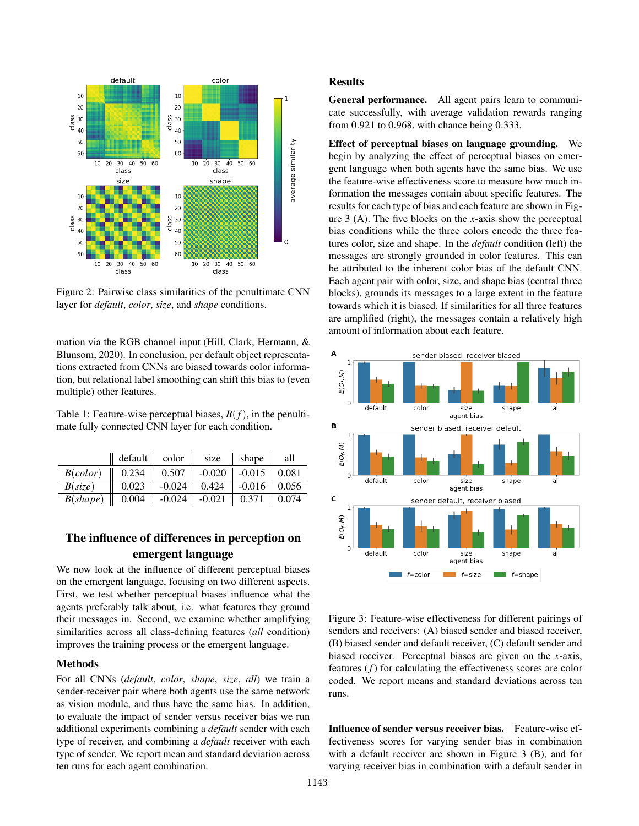

Figure 2: Pairwise class similarities of the penultimate CNN layer for *default*, *color*, *size*, and *shape* conditions.

mation via the RGB channel input (Hill, Clark, Hermann, & Blunsom, 2020). In conclusion, per default object representations extracted from CNNs are biased towards color information, but relational label smoothing can shift this bias to (even multiple) other features.

Table 1: Feature-wise perceptual biases,  $B(f)$ , in the penultimate fully connected CNN layer for each condition.

|          | default | color    | size     | shape    | all   |
|----------|---------|----------|----------|----------|-------|
| B(color) | 0.234   | 0.507    | $-0.020$ | $-0.015$ | 0.081 |
| B(size)  | 0.023   | $-0.024$ | 0.424    | $-0.016$ | 0.056 |
| B(shape) | 0.004   | $-0.024$ | $-0.021$ | 0.371    | 0.074 |

### The influence of differences in perception on emergent language

We now look at the influence of different perceptual biases on the emergent language, focusing on two different aspects. First, we test whether perceptual biases influence what the agents preferably talk about, i.e. what features they ground their messages in. Second, we examine whether amplifying similarities across all class-defining features (*all* condition) improves the training process or the emergent language.

#### Methods

For all CNNs (*default*, *color*, *shape*, *size*, *all*) we train a sender-receiver pair where both agents use the same network as vision module, and thus have the same bias. In addition, to evaluate the impact of sender versus receiver bias we run additional experiments combining a *default* sender with each type of receiver, and combining a *default* receiver with each type of sender. We report mean and standard deviation across ten runs for each agent combination.

#### **Results**

General performance. All agent pairs learn to communicate successfully, with average validation rewards ranging from 0.921 to 0.968, with chance being 0.333.

Effect of perceptual biases on language grounding. We begin by analyzing the effect of perceptual biases on emergent language when both agents have the same bias. We use the feature-wise effectiveness score to measure how much information the messages contain about specific features. The results for each type of bias and each feature are shown in Figure 3 (A). The five blocks on the *x*-axis show the perceptual bias conditions while the three colors encode the three features color, size and shape. In the *default* condition (left) the messages are strongly grounded in color features. This can be attributed to the inherent color bias of the default CNN. Each agent pair with color, size, and shape bias (central three blocks), grounds its messages to a large extent in the feature towards which it is biased. If similarities for all three features are amplified (right), the messages contain a relatively high amount of information about each feature.



Figure 3: Feature-wise effectiveness for different pairings of senders and receivers: (A) biased sender and biased receiver, (B) biased sender and default receiver, (C) default sender and biased receiver. Perceptual biases are given on the *x*-axis, features (*f*) for calculating the effectiveness scores are color coded. We report means and standard deviations across ten runs.

Influence of sender versus receiver bias. Feature-wise effectiveness scores for varying sender bias in combination with a default receiver are shown in Figure 3 (B), and for varying receiver bias in combination with a default sender in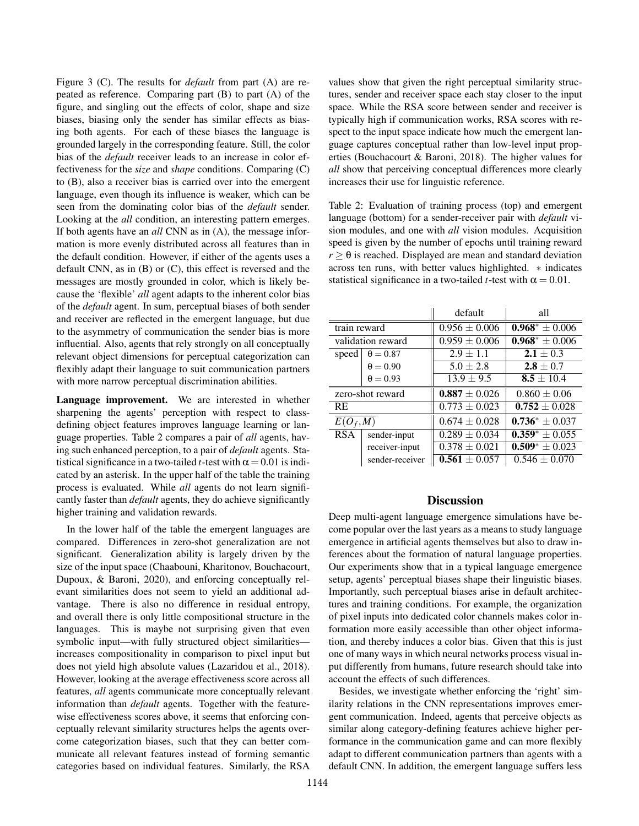Figure 3 (C). The results for *default* from part (A) are repeated as reference. Comparing part (B) to part (A) of the figure, and singling out the effects of color, shape and size biases, biasing only the sender has similar effects as biasing both agents. For each of these biases the language is grounded largely in the corresponding feature. Still, the color bias of the *default* receiver leads to an increase in color effectiveness for the *size* and *shape* conditions. Comparing (C) to (B), also a receiver bias is carried over into the emergent language, even though its influence is weaker, which can be seen from the dominating color bias of the *default* sender. Looking at the *all* condition, an interesting pattern emerges. If both agents have an *all* CNN as in (A), the message information is more evenly distributed across all features than in the default condition. However, if either of the agents uses a default CNN, as in (B) or (C), this effect is reversed and the messages are mostly grounded in color, which is likely because the 'flexible' *all* agent adapts to the inherent color bias of the *default* agent. In sum, perceptual biases of both sender and receiver are reflected in the emergent language, but due to the asymmetry of communication the sender bias is more influential. Also, agents that rely strongly on all conceptually relevant object dimensions for perceptual categorization can flexibly adapt their language to suit communication partners with more narrow perceptual discrimination abilities.

Language improvement. We are interested in whether sharpening the agents' perception with respect to classdefining object features improves language learning or language properties. Table 2 compares a pair of *all* agents, having such enhanced perception, to a pair of *default* agents. Statistical significance in a two-tailed *t*-test with  $\alpha$  = 0.01 is indicated by an asterisk. In the upper half of the table the training process is evaluated. While *all* agents do not learn significantly faster than *default* agents, they do achieve significantly higher training and validation rewards.

In the lower half of the table the emergent languages are compared. Differences in zero-shot generalization are not significant. Generalization ability is largely driven by the size of the input space (Chaabouni, Kharitonov, Bouchacourt, Dupoux, & Baroni, 2020), and enforcing conceptually relevant similarities does not seem to yield an additional advantage. There is also no difference in residual entropy, and overall there is only little compositional structure in the languages. This is maybe not surprising given that even symbolic input—with fully structured object similarities increases compositionality in comparison to pixel input but does not yield high absolute values (Lazaridou et al., 2018). However, looking at the average effectiveness score across all features, *all* agents communicate more conceptually relevant information than *default* agents. Together with the featurewise effectiveness scores above, it seems that enforcing conceptually relevant similarity structures helps the agents overcome categorization biases, such that they can better communicate all relevant features instead of forming semantic categories based on individual features. Similarly, the RSA values show that given the right perceptual similarity structures, sender and receiver space each stay closer to the input space. While the RSA score between sender and receiver is typically high if communication works, RSA scores with respect to the input space indicate how much the emergent language captures conceptual rather than low-level input properties (Bouchacourt & Baroni, 2018). The higher values for *all* show that perceiving conceptual differences more clearly increases their use for linguistic reference.

Table 2: Evaluation of training process (top) and emergent language (bottom) for a sender-receiver pair with *default* vision modules, and one with *all* vision modules. Acquisition speed is given by the number of epochs until training reward  $r \geq \theta$  is reached. Displayed are mean and standard deviation across ten runs, with better values highlighted. ∗ indicates statistical significance in a two-tailed *t*-test with  $\alpha = 0.01$ .

|                   |                 | default           | all                 |
|-------------------|-----------------|-------------------|---------------------|
| train reward      |                 | $0.956 \pm 0.006$ | $0.968^* \pm 0.006$ |
| validation reward |                 | $0.959 \pm 0.006$ | $0.968^* \pm 0.006$ |
| speed             | $\theta = 0.87$ | $2.9 \pm 1.1$     | $2.1 \pm 0.3$       |
|                   | $\theta = 0.90$ | $5.0 \pm 2.8$     | $2.8 \pm 0.7$       |
|                   | $\theta = 0.93$ | $13.9 \pm 9.5$    | $8.5 \pm 10.4$      |
| zero-shot reward  |                 | $0.887 \pm 0.026$ | $0.860 \pm 0.06$    |
| <b>RE</b>         |                 | $0.773 \pm 0.023$ | $0.752 \pm 0.028$   |
| $E(O_f, M)$       |                 | $0.674 \pm 0.028$ | $0.736^* \pm 0.037$ |
| <b>RSA</b>        | sender-input    | $0.289 \pm 0.034$ | $0.359^* \pm 0.055$ |
|                   | receiver-input  | $0.378 \pm 0.021$ | $0.509^* \pm 0.023$ |
|                   | sender-receiver | $0.561 \pm 0.057$ | $0.546 \pm 0.070$   |

#### **Discussion**

Deep multi-agent language emergence simulations have become popular over the last years as a means to study language emergence in artificial agents themselves but also to draw inferences about the formation of natural language properties. Our experiments show that in a typical language emergence setup, agents' perceptual biases shape their linguistic biases. Importantly, such perceptual biases arise in default architectures and training conditions. For example, the organization of pixel inputs into dedicated color channels makes color information more easily accessible than other object information, and thereby induces a color bias. Given that this is just one of many ways in which neural networks process visual input differently from humans, future research should take into account the effects of such differences.

Besides, we investigate whether enforcing the 'right' similarity relations in the CNN representations improves emergent communication. Indeed, agents that perceive objects as similar along category-defining features achieve higher performance in the communication game and can more flexibly adapt to different communication partners than agents with a default CNN. In addition, the emergent language suffers less